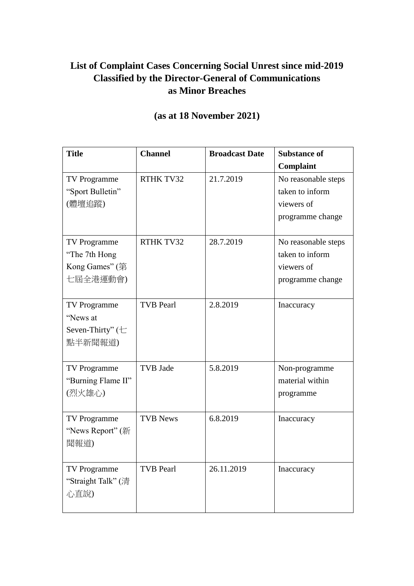## **List of Complaint Cases Concerning Social Unrest since mid-2019 Classified by the Director-General of Communications as Minor Breaches**

| <b>Title</b>                                                               | <b>Channel</b>   | <b>Broadcast Date</b> | <b>Substance of</b>                                                      |
|----------------------------------------------------------------------------|------------------|-----------------------|--------------------------------------------------------------------------|
|                                                                            |                  |                       | Complaint                                                                |
| TV Programme<br>"Sport Bulletin"<br>(體壇追蹤)                                 | RTHK TV32        | 21.7.2019             | No reasonable steps<br>taken to inform<br>viewers of<br>programme change |
| TV Programme<br>"The 7th Hong"<br>Kong Games" $(\frac{25}{3})$<br>七屆全港運動會) | RTHK TV32        | 28.7.2019             | No reasonable steps<br>taken to inform<br>viewers of<br>programme change |
| TV Programme<br>"News at<br>Seven-Thirty" $(\pm$<br>點半新聞報道)                | <b>TVB</b> Pearl | 2.8.2019              | Inaccuracy                                                               |
| TV Programme<br>"Burning Flame II"<br>(烈火雄心)                               | <b>TVB</b> Jade  | 5.8.2019              | Non-programme<br>material within<br>programme                            |
| TV Programme<br>"News Report" (新<br>聞報道)                                   | <b>TVB News</b>  | 6.8.2019              | Inaccuracy                                                               |
| <b>TV Programme</b><br>"Straight Talk" (清<br>心直說)                          | <b>TVB Pearl</b> | 26.11.2019            | <b>Inaccuracy</b>                                                        |

## **(as at 18 November 2021)**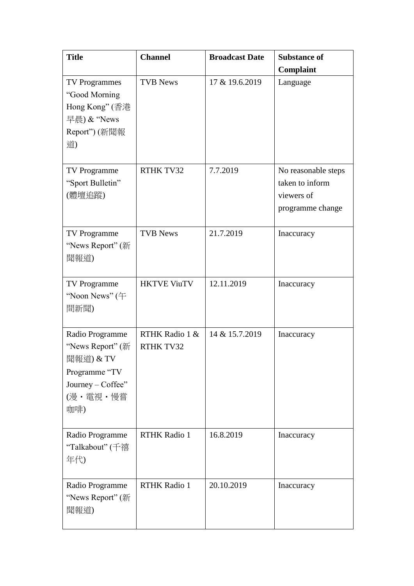| <b>Title</b>                                                                                              | <b>Channel</b>              | <b>Broadcast Date</b> | <b>Substance of</b>                                                      |
|-----------------------------------------------------------------------------------------------------------|-----------------------------|-----------------------|--------------------------------------------------------------------------|
| <b>TV Programmes</b><br>"Good Morning<br>Hong Kong" (香港<br>早晨) & "News<br>Report") (新聞報<br>道)             | <b>TVB News</b>             | 17 & 19.6.2019        | Complaint<br>Language                                                    |
| <b>TV Programme</b><br>"Sport Bulletin"<br>(體壇追蹤)                                                         | <b>RTHK TV32</b>            | 7.7.2019              | No reasonable steps<br>taken to inform<br>viewers of<br>programme change |
| TV Programme<br>"News Report" (新<br>聞報道)                                                                  | <b>TVB News</b>             | 21.7.2019             | Inaccuracy                                                               |
| TV Programme<br>"Noon News" $($ $\mp$<br>間新聞)                                                             | <b>HKTVE ViuTV</b>          | 12.11.2019            | Inaccuracy                                                               |
| Radio Programme<br>"News Report" (新<br>聞報道) & TV<br>Programme "TV<br>Journey - Coffee"<br>(漫・電視・慢嘗<br>咖啡) | RTHK Radio 1 &<br>RTHK TV32 | 14 & 15.7.2019        | Inaccuracy                                                               |
| Radio Programme<br>"Talkabout" (千禧<br>年代)                                                                 | <b>RTHK Radio 1</b>         | 16.8.2019             | Inaccuracy                                                               |
| Radio Programme<br>"News Report" (新<br>聞報道)                                                               | <b>RTHK Radio 1</b>         | 20.10.2019            | Inaccuracy                                                               |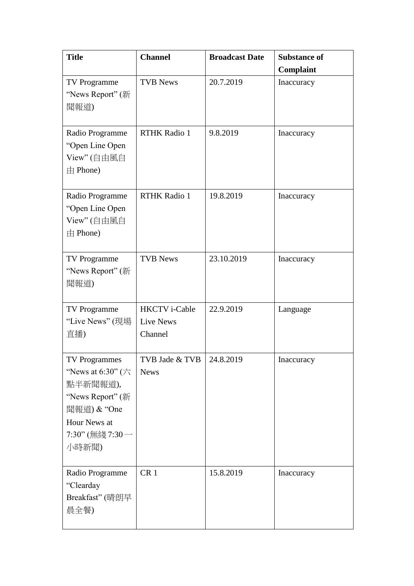| <b>Title</b>                                                                                                                                                   | <b>Channel</b>                                      | <b>Broadcast Date</b> | <b>Substance of</b><br>Complaint |
|----------------------------------------------------------------------------------------------------------------------------------------------------------------|-----------------------------------------------------|-----------------------|----------------------------------|
| TV Programme<br>"News Report" (新<br>聞報道)                                                                                                                       | <b>TVB News</b>                                     | 20.7.2019             | Inaccuracy                       |
| Radio Programme<br>"Open Line Open<br>View" (自由風自<br>由 Phone)                                                                                                  | <b>RTHK Radio 1</b>                                 | 9.8.2019              | Inaccuracy                       |
| Radio Programme<br>"Open Line Open<br>View" (自由風自<br>$\pm$ Phone)                                                                                              | <b>RTHK Radio 1</b>                                 | 19.8.2019             | Inaccuracy                       |
| <b>TV Programme</b><br>"News Report" (新<br>聞報道)                                                                                                                | <b>TVB News</b>                                     | 23.10.2019            | Inaccuracy                       |
| <b>TV Programme</b><br>"Live News" (現場<br>直播)                                                                                                                  | <b>HKCTV</b> i-Cable<br><b>Live News</b><br>Channel | 22.9.2019             | Language                         |
| <b>TV Programmes</b><br>"News at 6:30" ( $\overrightarrow{\wedge}$<br>點半新聞報道),<br>"News Report" (新<br>聞報道) & "One<br>Hour News at<br>7:30" (無綫 7:30 -<br>小時新聞) | TVB Jade & TVB<br><b>News</b>                       | 24.8.2019             | Inaccuracy                       |
| Radio Programme<br>"Clearday<br>Breakfast" (晴朗早<br>晨全餐)                                                                                                        | CR <sub>1</sub>                                     | 15.8.2019             | Inaccuracy                       |